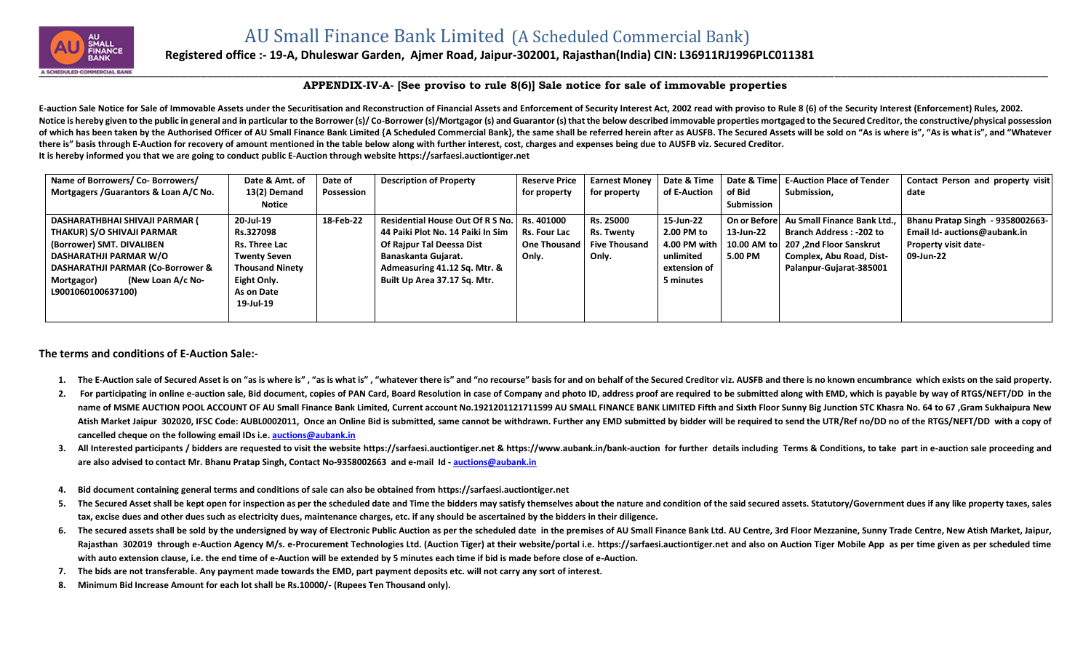

## **Registered office :- 19-A, Dhuleswar Garden, Ajmer Road, Jaipur-302001, Rajasthan(India) CIN: L36911RJ1996PLC011381**

## **APPENDIX-IV-A- [See proviso to rule 8(6)] Sale notice for sale of immovable properties**

E-auction Sale Notice for Sale of Immovable Assets under the Securitisation and Reconstruction of Financial Assets and Enforcement of Security Interest Act, 2002 read with proviso to Rule 8 (6) of the Security Interest (En Notice is hereby given to the public in general and in particular to the Borrower (s)/Co-Borrower (s)/Mortgagor (s) and Guarantor (s) that the below described immovable properties mortgaged to the Secured Creditor, the con of which has been taken by the Authorised Officer of AU Small Finance Bank Limited {A Scheduled Commercial Bank}, the same shall be referred herein after as AUSFB. The Secured Assets will be sold on "As is where is". "As i **there is" basis through E-Auction for recovery of amount mentioned in the table below along with further interest, cost, charges and expenses being due to AUSFB viz. Secured Creditor. It is hereby informed you that we are going to conduct public E-Auction through website [https://sarfaesi.auctiontiger.net](https://sarfaesi.auctiontiger.net/)** 

| Name of Borrowers/ Co- Borrowers/      | Date & Amt. of         | Date of    | <b>Description of Property</b>              | <b>Reserve Price</b> | <b>Earnest Money</b> | Date & Time  | Date & Time | <b>E-Auction Place of Tender</b>         | Contact Person and property visit |
|----------------------------------------|------------------------|------------|---------------------------------------------|----------------------|----------------------|--------------|-------------|------------------------------------------|-----------------------------------|
| Mortgagers / Guarantors & Loan A/C No. | 13(2) Demand           | Possession |                                             | for property         | for property         | of E-Auction | of Bid      | Submission,                              | date                              |
|                                        | Notice                 |            |                                             |                      |                      |              | Submission  |                                          |                                   |
| DASHARATHBHAI SHIVAJI PARMAR (         | 20-Jul-19              | 18-Feb-22  | Residential House Out Of R S No. Rs. 401000 |                      | Rs. 25000            | 15-Jun-22    |             | On or Before Au Small Finance Bank Ltd., | Bhanu Pratap Singh - 9358002663-  |
| THAKUR) S/O SHIVAJI PARMAR             | Rs.327098              |            | 44 Paiki Plot No. 14 Paiki In Sim           | <b>Rs. Four Lac</b>  | <b>Rs. Twenty</b>    | 2.00 PM to   | 13-Jun-22   | <b>Branch Address: -202 to</b>           | Email Id- auctions@aubank.in      |
| (Borrower) SMT. DIVALIBEN              | Rs. Three Lac          |            | Of Rajpur Tal Deessa Dist                   | One Thousand         | <b>Five Thousand</b> | 4.00 PM with |             | 10.00 AM to   207,2nd Floor Sanskrut     | <b>Property visit date-</b>       |
| DASHARATHJI PARMAR W/O                 | <b>Twenty Seven</b>    |            | Banaskanta Gujarat.                         | Only.                | Only.                | unlimited    | 5.00 PM     | Complex, Abu Road, Dist-                 | 09-Jun-22                         |
| DASHARATHJI PARMAR (Co-Borrower &      | <b>Thousand Ninety</b> |            | Admeasuring 41.12 Sq. Mtr. &                |                      |                      | extension of |             | Palanpur-Gujarat-385001                  |                                   |
| (New Loan A/c No-<br>Mortgagor)        | Eight Only.            |            | Built Up Area 37.17 Sq. Mtr.                |                      |                      | 5 minutes    |             |                                          |                                   |
| L9001060100637100)                     | As on Date             |            |                                             |                      |                      |              |             |                                          |                                   |
|                                        | 19-Jul-19              |            |                                             |                      |                      |              |             |                                          |                                   |
|                                        |                        |            |                                             |                      |                      |              |             |                                          |                                   |

## **The terms and conditions of E-Auction Sale:-**

- 1. The E-Auction sale of Secured Asset is on "as is where is", "as is what is", "whatever there is" and "no recourse" basis for and on behalf of the Secured Creditor viz. AUSFB and there is no known encumbrance which exist
- 2. For participating in online e-auction sale, Bid document, copies of PAN Card, Board Resolution in case of Company and photo ID, address proof are required to be submitted along with EMD, which is payable by way of RTGS/ name of MSME AUCTION POOL ACCOUNT OF AU Small Finance Bank Limited, Current account No.1921201121711599 AU SMALL FINANCE BANK LIMITED Fifth and Sixth Floor Sunny Big Junction STC Khasra No. 64 to 67, Gram Sukhaipura New Atish Market Jaipur 302020, IFSC Code: AUBL0002011, Once an Online Bid is submitted, same cannot be withdrawn. Further any EMD submitted by bidder will be required to send the UTR/Ref no/DD no of the RTGS/NEFT/DD with a co **cancelled cheque on the following email IDs i.e. [auctions@aubank.in](mailto:auctions@aubank.in)**
- 3. All Interested participants / bidders are requested to visit the website [https://sarfaesi.auctiontiger.net](https://sarfaesi.auctiontiger.net/) & https://www.aubank.in/bank-auction for further details including Terms & Conditions, to take part in e-auction **are also advised to contact Mr. Bhanu Pratap Singh, Contact No-9358002663 and e-mail Id - [auctions@aubank.in](mailto:auctions@aubank.in)**
- **4. Bid document containing general terms and conditions of sale can also be obtained fro[m https://sarfaesi.auctiontiger.net](https://edelweissarc.auctiontiger.net/)**
- 5. The Secured Asset shall be kept open for inspection as per the scheduled date and Time the bidders may satisfy themselves about the nature and condition of the said secured assets. Statutory/Government dues if any like **tax, excise dues and other dues such as electricity dues, maintenance charges, etc. if any should be ascertained by the bidders in their diligence.**
- 6. The secured assets shall be sold by the undersigned by way of Electronic Public Auction as per the scheduled date in the premises of AU Small Finance Bank Ltd. AU Centre, 3rd Floor Mezzanine, Sunny Trade Centre, New Ati Rajasthan 302019 through e-Auction Agency M/s. e-Procurement Technologies Ltd. (Auction Tiger) at their website/portal i.e. [https://sarfaesi.auctiontiger.net](https://sarfaesi.auctiontiger.net/) and also on Auction Tiger Mobile App as per time given as per sc **with auto extension clause, i.e. the end time of e-Auction will be extended by 5 minutes each time if bid is made before close of e-Auction.**
- **7. The bids are not transferable. Any payment made towards the EMD, part payment deposits etc. will not carry any sort of interest.**
- **8. Minimum Bid Increase Amount for each lot shall be Rs.10000/- (Rupees Ten Thousand only).**